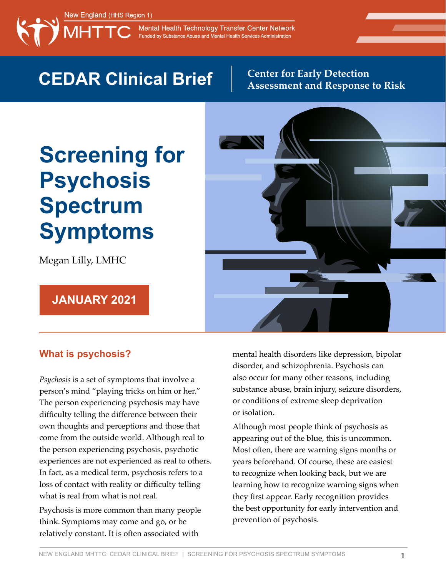

Mental Health Technology Transfer Center Network Funded by Substance Abuse and Mental Health Services Administration

## **CEDAR Clinical Brief** Center for Early Detection

# **Assessment and Response to Risk**

# **Screening for Psychosis Spectrum Symptoms**

Megan Lilly, LMHC

#### **JANUARY 2021**



#### **What is psychosis?**

*Psychosis* is a set of symptoms that involve a person's mind "playing tricks on him or her." The person experiencing psychosis may have difficulty telling the difference between their own thoughts and perceptions and those that come from the outside world. Although real to the person experiencing psychosis, psychotic experiences are not experienced as real to others. In fact, as a medical term, psychosis refers to a loss of contact with reality or difficulty telling what is real from what is not real.

Psychosis is more common than many people think. Symptoms may come and go, or be relatively constant. It is often associated with

mental health disorders like depression, bipolar disorder, and schizophrenia. Psychosis can also occur for many other reasons, including substance abuse, brain injury, seizure disorders, or conditions of extreme sleep deprivation or isolation.

Although most people think of psychosis as appearing out of the blue, this is uncommon. Most often, there are warning signs months or years beforehand. Of course, these are easiest to recognize when looking back, but we are learning how to recognize warning signs when they first appear. Early recognition provides the best opportunity for early intervention and prevention of psychosis.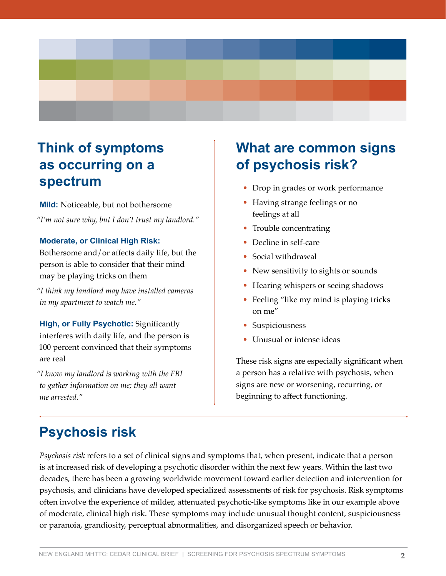

### **Think of symptoms as occurring on a spectrum**

**Mild:** Noticeable, but not bothersome

*"I'm not sure why, but I don't trust my landlord."*

#### **Moderate, or Clinical High Risk:**

Bothersome and/or affects daily life, but the person is able to consider that their mind may be playing tricks on them

*"I think my landlord may have installed cameras in my apartment to watch me."*

**High, or Fully Psychotic:** Significantly interferes with daily life, and the person is 100 percent convinced that their symptoms are real

*"I know my landlord is working with the FBI to gather information on me; they all want me arrested."*

### **What are common signs of psychosis risk?**

- Drop in grades or work performance
- Having strange feelings or no feelings at all
- Trouble concentrating
- Decline in self-care
- Social withdrawal
- New sensitivity to sights or sounds
- Hearing whispers or seeing shadows
- Feeling "like my mind is playing tricks on me"
- Suspiciousness
- Unusual or intense ideas

These risk signs are especially significant when a person has a relative with psychosis, when signs are new or worsening, recurring, or beginning to affect functioning.

### **Psychosis risk**

*Psychosis risk* refers to a set of clinical signs and symptoms that, when present, indicate that a person is at increased risk of developing a psychotic disorder within the next few years. Within the last two decades, there has been a growing worldwide movement toward earlier detection and intervention for psychosis, and clinicians have developed specialized assessments of risk for psychosis. Risk symptoms often involve the experience of milder, attenuated psychotic-like symptoms like in our example above of moderate, clinical high risk. These symptoms may include unusual thought content, suspiciousness or paranoia, grandiosity, perceptual abnormalities, and disorganized speech or behavior.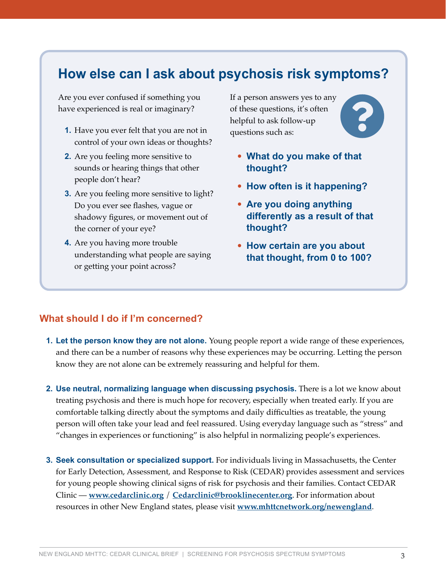### **How else can I ask about psychosis risk symptoms?**

Are you ever confused if something you have experienced is real or imaginary?

- **1.** Have you ever felt that you are not in control of your own ideas or thoughts?
- **2.** Are you feeling more sensitive to sounds or hearing things that other people don't hear?
- **3.** Are you feeling more sensitive to light? Do you ever see flashes, vague or shadowy figures, or movement out of the corner of your eye?
- **4.** Are you having more trouble understanding what people are saying or getting your point across?

If a person answers yes to any of these questions, it's often helpful to ask follow-up questions such as:



- **What do you make of that thought?**
- **How often is it happening?**
- **Are you doing anything differently as a result of that thought?**
- **How certain are you about that thought, from 0 to 100?**

#### **What should I do if I'm concerned?**

- **1. Let the person know they are not alone.** Young people report a wide range of these experiences, and there can be a number of reasons why these experiences may be occurring. Letting the person know they are not alone can be extremely reassuring and helpful for them.
- **2. Use neutral, normalizing language when discussing psychosis.** There is a lot we know about treating psychosis and there is much hope for recovery, especially when treated early. If you are comfortable talking directly about the symptoms and daily difficulties as treatable, the young person will often take your lead and feel reassured. Using everyday language such as "stress" and "changes in experiences or functioning" is also helpful in normalizing people's experiences.
- **3. Seek consultation or specialized support.** For individuals living in Massachusetts, the Center for Early Detection, Assessment, and Response to Risk (CEDAR) provides assessment and services for young people showing clinical signs of risk for psychosis and their families. Contact CEDAR Clinic — **[www.cedarclinic.org](http://www.cedarclinic.org)** / **[Cedarclinic@brooklinecenter.org](mailto:?subject=)**. For information about resources in other New England states, please visit **[www.mhttcnetwork.org/newengland](http://www.mhttcnetwork.org/newengland)**.